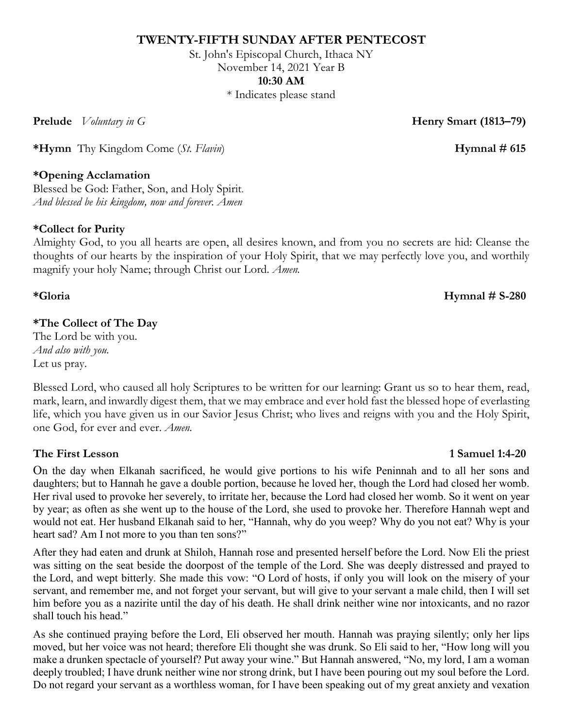## **TWENTY-FIFTH SUNDAY AFTER PENTECOST**

St. John's Episcopal Church, Ithaca NY November 14, 2021 Year B **10:30 AM** \* Indicates please stand

**Prelude** *Voluntary in G* **Henry Smart (1813–79)** 

**\*Hymn** Thy Kingdom Come (*St. Flavin*) **Hymnal # 615**

### **\*Opening Acclamation**

Blessed be God: Father, Son, and Holy Spirit. *And blessed be his kingdom, now and forever. Amen*

### **\*Collect for Purity**

Almighty God, to you all hearts are open, all desires known, and from you no secrets are hid: Cleanse the thoughts of our hearts by the inspiration of your Holy Spirit, that we may perfectly love you, and worthily magnify your holy Name; through Christ our Lord. *Amen.*

## **\*The Collect of The Day**

The Lord be with you. *And also with you.* Let us pray.

Blessed Lord, who caused all holy Scriptures to be written for our learning: Grant us so to hear them, read, mark, learn, and inwardly digest them, that we may embrace and ever hold fast the blessed hope of everlasting life, which you have given us in our Savior Jesus Christ; who lives and reigns with you and the Holy Spirit, one God, for ever and ever. *Amen.*

### **The First Lesson 1 Samuel 1:4-20**

On the day when Elkanah sacrificed, he would give portions to his wife Peninnah and to all her sons and daughters; but to Hannah he gave a double portion, because he loved her, though the Lord had closed her womb. Her rival used to provoke her severely, to irritate her, because the Lord had closed her womb. So it went on year by year; as often as she went up to the house of the Lord, she used to provoke her. Therefore Hannah wept and would not eat. Her husband Elkanah said to her, "Hannah, why do you weep? Why do you not eat? Why is your heart sad? Am I not more to you than ten sons?"

After they had eaten and drunk at Shiloh, Hannah rose and presented herself before the Lord. Now Eli the priest was sitting on the seat beside the doorpost of the temple of the Lord. She was deeply distressed and prayed to the Lord, and wept bitterly. She made this vow: "O Lord of hosts, if only you will look on the misery of your servant, and remember me, and not forget your servant, but will give to your servant a male child, then I will set him before you as a nazirite until the day of his death. He shall drink neither wine nor intoxicants, and no razor shall touch his head."

As she continued praying before the Lord, Eli observed her mouth. Hannah was praying silently; only her lips moved, but her voice was not heard; therefore Eli thought she was drunk. So Eli said to her, "How long will you make a drunken spectacle of yourself? Put away your wine." But Hannah answered, "No, my lord, I am a woman deeply troubled; I have drunk neither wine nor strong drink, but I have been pouring out my soul before the Lord. Do not regard your servant as a worthless woman, for I have been speaking out of my great anxiety and vexation

## **\*Gloria Hymnal # S-280**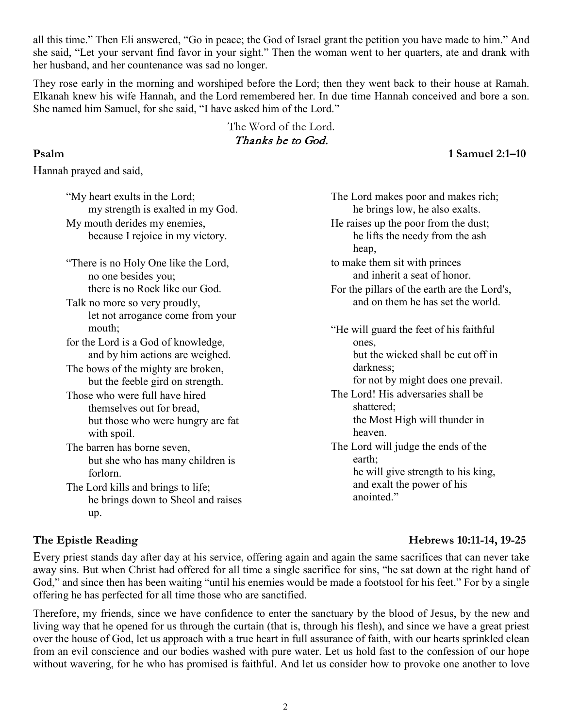all this time." Then Eli answered, "Go in peace; the God of Israel grant the petition you have made to him." And she said, "Let your servant find favor in your sight." Then the woman went to her quarters, ate and drank with her husband, and her countenance was sad no longer.

They rose early in the morning and worshiped before the Lord; then they went back to their house at Ramah. Elkanah knew his wife Hannah, and the Lord remembered her. In due time Hannah conceived and bore a son. She named him Samuel, for she said, "I have asked him of the Lord."

> The Word of the Lord. Thanks be to God.

#### **Psalm** 1 Samuel 2:1–10

Hannah prayed and said,

"My heart exults in the Lord; my strength is exalted in my God. My mouth derides my enemies, because I rejoice in my victory. "There is no Holy One like the Lord, no one besides you; there is no Rock like our God. Talk no more so very proudly, let not arrogance come from your mouth; for the Lord is a God of knowledge, and by him actions are weighed. The bows of the mighty are broken, but the feeble gird on strength. Those who were full have hired themselves out for bread, but those who were hungry are fat with spoil. The barren has borne seven, but she who has many children is forlorn. The Lord kills and brings to life; he brings down to Sheol and raises up. The Lord makes poor and makes rich; he brings low, he also exalts. He raises up the poor from the dust; he lifts the needy from the ash heap, to make them sit with princes and inherit a seat of honor. For the pillars of the earth are the Lord's, and on them he has set the world. "He will guard the feet of his faithful ones, but the wicked shall be cut off in darkness; for not by might does one prevail. The Lord! His adversaries shall be shattered; the Most High will thunder in heaven. The Lord will judge the ends of the earth; he will give strength to his king, and exalt the power of his anointed."

#### **The Epistle Reading Hebrews 10:11-14, 19-25**

Every priest stands day after day at his service, offering again and again the same sacrifices that can never take away sins. But when Christ had offered for all time a single sacrifice for sins, "he sat down at the right hand of God," and since then has been waiting "until his enemies would be made a footstool for his feet." For by a single offering he has perfected for all time those who are sanctified.

Therefore, my friends, since we have confidence to enter the sanctuary by the blood of Jesus, by the new and living way that he opened for us through the curtain (that is, through his flesh), and since we have a great priest over the house of God, let us approach with a true heart in full assurance of faith, with our hearts sprinkled clean from an evil conscience and our bodies washed with pure water. Let us hold fast to the confession of our hope without wavering, for he who has promised is faithful. And let us consider how to provoke one another to love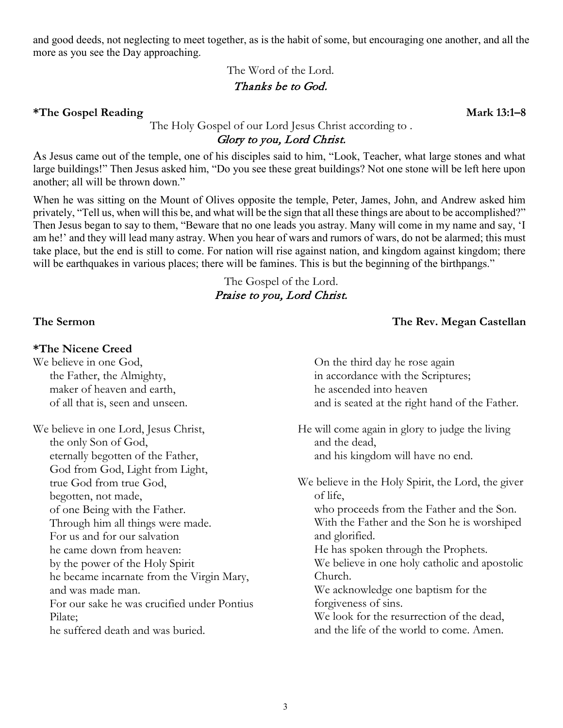and good deeds, not neglecting to meet together, as is the habit of some, but encouraging one another, and all the more as you see the Day approaching.

## The Word of the Lord. Thanks be to God.

#### **\*The Gospel Reading Mark 13:1–8**

## The Holy Gospel of our Lord Jesus Christ according to . Glory to you, Lord Christ.

As Jesus came out of the temple, one of his disciples said to him, "Look, Teacher, what large stones and what large buildings!" Then Jesus asked him, "Do you see these great buildings? Not one stone will be left here upon another; all will be thrown down."

When he was sitting on the Mount of Olives opposite the temple, Peter, James, John, and Andrew asked him privately, "Tell us, when will this be, and what will be the sign that all these things are about to be accomplished?" Then Jesus began to say to them, "Beware that no one leads you astray. Many will come in my name and say, 'I am he!' and they will lead many astray. When you hear of wars and rumors of wars, do not be alarmed; this must take place, but the end is still to come. For nation will rise against nation, and kingdom against kingdom; there will be earthquakes in various places; there will be famines. This is but the beginning of the birthpangs."

## The Gospel of the Lord. Praise to you, Lord Christ.

#### **The Sermon The Rev. Megan Castellan**

#### **\*The Nicene Creed**

We believe in one God, the Father, the Almighty, maker of heaven and earth, of all that is, seen and unseen.

We believe in one Lord, Jesus Christ, the only Son of God, eternally begotten of the Father, God from God, Light from Light, true God from true God, begotten, not made, of one Being with the Father. Through him all things were made. For us and for our salvation he came down from heaven: by the power of the Holy Spirit he became incarnate from the Virgin Mary, and was made man. For our sake he was crucified under Pontius Pilate; he suffered death and was buried.

On the third day he rose again in accordance with the Scriptures; he ascended into heaven and is seated at the right hand of the Father.

He will come again in glory to judge the living and the dead, and his kingdom will have no end.

We believe in the Holy Spirit, the Lord, the giver of life, who proceeds from the Father and the Son. With the Father and the Son he is worshiped and glorified. He has spoken through the Prophets. We believe in one holy catholic and apostolic Church. We acknowledge one baptism for the forgiveness of sins. We look for the resurrection of the dead, and the life of the world to come. Amen.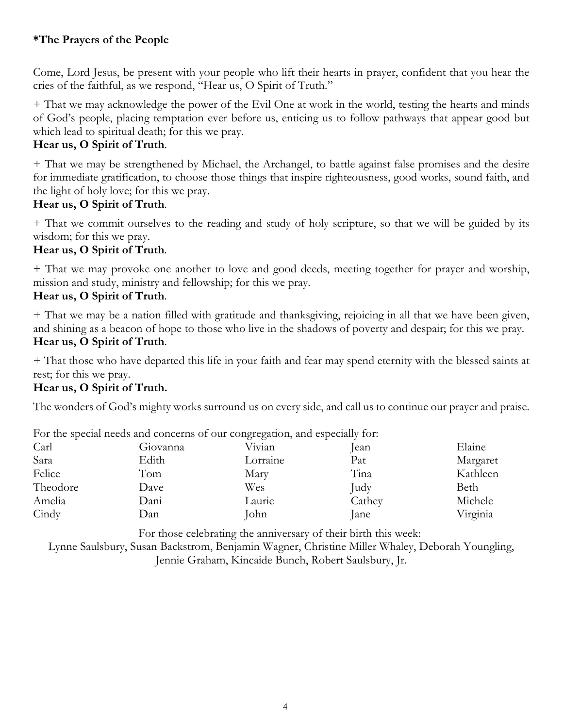## **\*The Prayers of the People**

Come, Lord Jesus, be present with your people who lift their hearts in prayer, confident that you hear the cries of the faithful, as we respond, "Hear us, O Spirit of Truth."

+ That we may acknowledge the power of the Evil One at work in the world, testing the hearts and minds of God's people, placing temptation ever before us, enticing us to follow pathways that appear good but which lead to spiritual death; for this we pray.

## **Hear us, O Spirit of Truth**.

+ That we may be strengthened by Michael, the Archangel, to battle against false promises and the desire for immediate gratification, to choose those things that inspire righteousness, good works, sound faith, and the light of holy love; for this we pray.

## **Hear us, O Spirit of Truth**.

+ That we commit ourselves to the reading and study of holy scripture, so that we will be guided by its wisdom; for this we pray.

## **Hear us, O Spirit of Truth**.

+ That we may provoke one another to love and good deeds, meeting together for prayer and worship, mission and study, ministry and fellowship; for this we pray.

## **Hear us, O Spirit of Truth**.

+ That we may be a nation filled with gratitude and thanksgiving, rejoicing in all that we have been given, and shining as a beacon of hope to those who live in the shadows of poverty and despair; for this we pray. **Hear us, O Spirit of Truth**.

+ That those who have departed this life in your faith and fear may spend eternity with the blessed saints at rest; for this we pray.

## **Hear us, O Spirit of Truth.**

The wonders of God's mighty works surround us on every side, and call us to continue our prayer and praise.

|          | For the special needs and concerns of our congregation, and especially for: |          |        |          |
|----------|-----------------------------------------------------------------------------|----------|--------|----------|
| Carl     | Giovanna                                                                    | Vivian   | lean   | Elaine   |
| Sara     | Edith                                                                       | Lorraine | Pat    | Margaret |
| Felice   | Tom                                                                         | Mary     | Tina   | Kathleen |
| Theodore | Dave                                                                        | Wes      | Judy   | Beth     |
| Amelia   | Dani                                                                        | Laurie   | Cathey | Michele  |
| Cindy    | Dan                                                                         | John     | Jane   | Virginia |

For the special needs and concerns of our congregation, and especially for:

For those celebrating the anniversary of their birth this week:

Lynne Saulsbury, Susan Backstrom, Benjamin Wagner, Christine Miller Whaley, Deborah Youngling, Jennie Graham, Kincaide Bunch, Robert Saulsbury, Jr.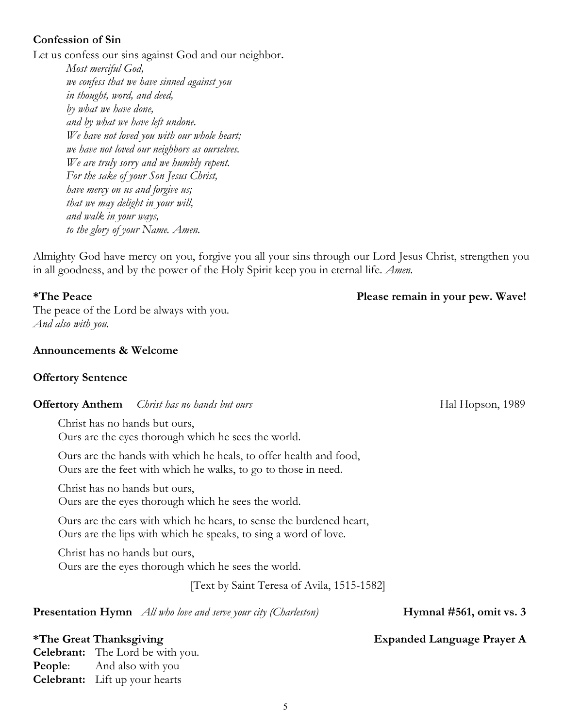### **Confession of Sin**

Let us confess our sins against God and our neighbor.

*Most merciful God, we confess that we have sinned against you in thought, word, and deed, by what we have done, and by what we have left undone. We have not loved you with our whole heart; we have not loved our neighbors as ourselves. We are truly sorry and we humbly repent. For the sake of your Son Jesus Christ, have mercy on us and forgive us; that we may delight in your will, and walk in your ways, to the glory of your Name. Amen.*

Almighty God have mercy on you, forgive you all your sins through our Lord Jesus Christ, strengthen you in all goodness, and by the power of the Holy Spirit keep you in eternal life. *Amen.*

The peace of the Lord be always with you. *And also with you.*

### **Announcements & Welcome**

#### **Offertory Sentence**

#### **Offertory Anthem** *Christ has no hands but ours* Hal Hopson, 1989

Christ has no hands but ours, Ours are the eyes thorough which he sees the world.

Ours are the hands with which he heals, to offer health and food, Ours are the feet with which he walks, to go to those in need.

Christ has no hands but ours,

Ours are the eyes thorough which he sees the world.

Ours are the ears with which he hears, to sense the burdened heart, Ours are the lips with which he speaks, to sing a word of love.

Christ has no hands but ours,

Ours are the eyes thorough which he sees the world.

[Text by Saint Teresa of Avila, 1515-1582]

**Presentation Hymn** *All who love and serve your city (Charleston)* **Hymnal #561, omit vs. 3** 

**Celebrant:** The Lord be with you. **People:** And also with you **Celebrant:** Lift up your hearts

## **\*The Peace Please remain in your pew. Wave!**

## **\*The Great Thanksgiving Expanded Language Prayer A**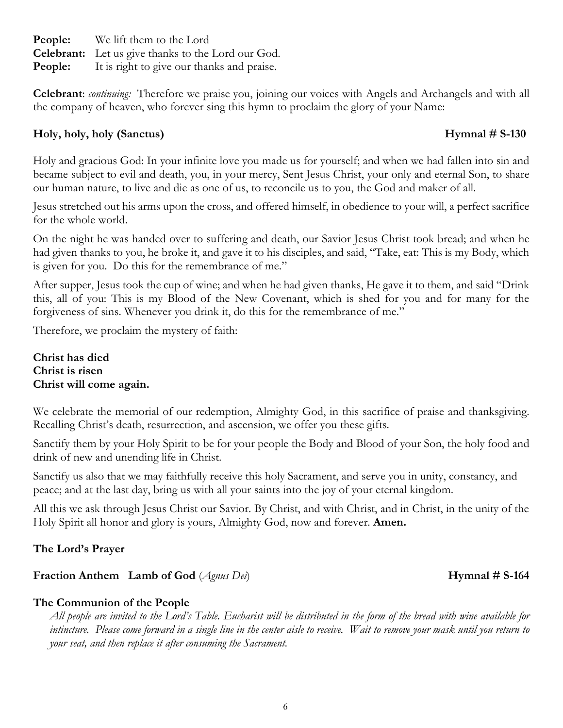| People: | We lift them to the Lord                                  |
|---------|-----------------------------------------------------------|
|         | <b>Celebrant:</b> Let us give thanks to the Lord our God. |
| People: | It is right to give our thanks and praise.                |

**Celebrant**: *continuing:* Therefore we praise you, joining our voices with Angels and Archangels and with all the company of heaven, who forever sing this hymn to proclaim the glory of your Name:

## **Holy, holy, holy (Sanctus) Hymnal # S-130**

Holy and gracious God: In your infinite love you made us for yourself; and when we had fallen into sin and became subject to evil and death, you, in your mercy, Sent Jesus Christ, your only and eternal Son, to share our human nature, to live and die as one of us, to reconcile us to you, the God and maker of all.

Jesus stretched out his arms upon the cross, and offered himself, in obedience to your will, a perfect sacrifice for the whole world.

On the night he was handed over to suffering and death, our Savior Jesus Christ took bread; and when he had given thanks to you, he broke it, and gave it to his disciples, and said, "Take, eat: This is my Body, which is given for you. Do this for the remembrance of me."

After supper, Jesus took the cup of wine; and when he had given thanks, He gave it to them, and said "Drink this, all of you: This is my Blood of the New Covenant, which is shed for you and for many for the forgiveness of sins. Whenever you drink it, do this for the remembrance of me."

Therefore, we proclaim the mystery of faith:

## **Christ has died Christ is risen Christ will come again.**

We celebrate the memorial of our redemption, Almighty God, in this sacrifice of praise and thanksgiving. Recalling Christ's death, resurrection, and ascension, we offer you these gifts.

Sanctify them by your Holy Spirit to be for your people the Body and Blood of your Son, the holy food and drink of new and unending life in Christ.

Sanctify us also that we may faithfully receive this holy Sacrament, and serve you in unity, constancy, and peace; and at the last day, bring us with all your saints into the joy of your eternal kingdom.

All this we ask through Jesus Christ our Savior. By Christ, and with Christ, and in Christ, in the unity of the Holy Spirit all honor and glory is yours, Almighty God, now and forever. **Amen.**

## **The Lord's Prayer**

## **Fraction Anthem Lamb of God** (*Agnus Dei*) **Hymnal # S-164**

## **The Communion of the People**

*All people are invited to the Lord's Table. Eucharist will be distributed in the form of the bread with wine available for intincture. Please come forward in a single line in the center aisle to receive. Wait to remove your mask until you return to your seat, and then replace it after consuming the Sacrament.*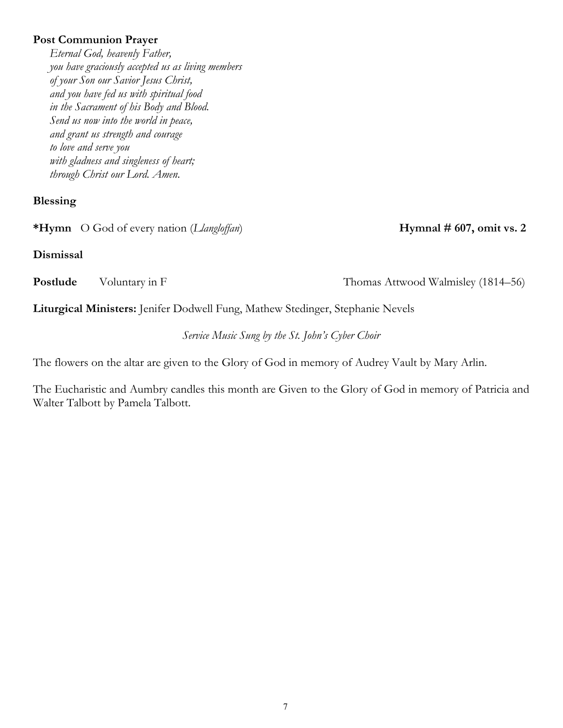## **Post Communion Prayer**

*Eternal God, heavenly Father, you have graciously accepted us as living members of your Son our Savior Jesus Christ, and you have fed us with spiritual food in the Sacrament of his Body and Blood. Send us now into the world in peace, and grant us strength and courage to love and serve you with gladness and singleness of heart; through Christ our Lord. Amen*.

### **Blessing**

**\*Hymn** O God of every nation (*Llangloffan*) **Hymnal # 607, omit vs. 2**

**Dismissal**

**Postlude** Voluntary in F Thomas Attwood Walmisley (1814–56)

**Liturgical Ministers:** Jenifer Dodwell Fung, Mathew Stedinger, Stephanie Nevels

*Service Music Sung by the St. John's Cyber Choir*

The flowers on the altar are given to the Glory of God in memory of Audrey Vault by Mary Arlin.

The Eucharistic and Aumbry candles this month are Given to the Glory of God in memory of Patricia and Walter Talbott by Pamela Talbott.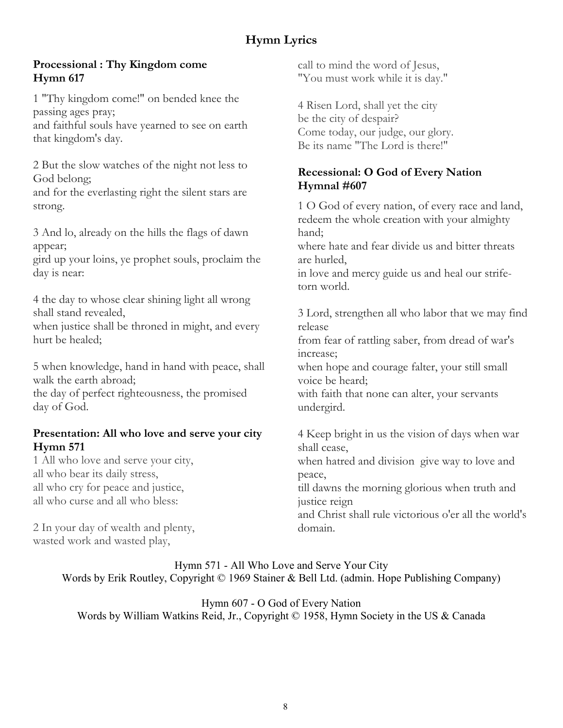# **Hymn Lyrics**

## **Processional : Thy Kingdom come Hymn 617**

1 "Thy kingdom come!" on bended knee the passing ages pray;

and faithful souls have yearned to see on earth that kingdom's day.

2 But the slow watches of the night not less to God belong;

and for the everlasting right the silent stars are strong.

3 And lo, already on the hills the flags of dawn appear;

gird up your loins, ye prophet souls, proclaim the day is near:

4 the day to whose clear shining light all wrong shall stand revealed,

when justice shall be throned in might, and every hurt be healed;

5 when knowledge, hand in hand with peace, shall walk the earth abroad;

the day of perfect righteousness, the promised day of God.

## **Presentation: All who love and serve your city Hymn 571**

1 All who love and serve your city, all who bear its daily stress, all who cry for peace and justice, all who curse and all who bless:

2 In your day of wealth and plenty, wasted work and wasted play,

call to mind the word of Jesus, "You must work while it is day."

4 Risen Lord, shall yet the city be the city of despair? Come today, our judge, our glory. Be its name "The Lord is there!"

## **Recessional: O God of Every Nation Hymnal #607**

1 O God of every nation, of every race and land, redeem the whole creation with your almighty hand;

where hate and fear divide us and bitter threats are hurled,

in love and mercy guide us and heal our strifetorn world.

3 Lord, strengthen all who labor that we may find release

from fear of rattling saber, from dread of war's increase;

when hope and courage falter, your still small voice be heard;

with faith that none can alter, your servants undergird.

4 Keep bright in us the vision of days when war shall cease,

when hatred and division give way to love and peace,

till dawns the morning glorious when truth and justice reign

and Christ shall rule victorious o'er all the world's domain.

Hymn 571 - All Who Love and Serve Your City Words by Erik Routley, Copyright © 1969 Stainer & Bell Ltd. (admin. Hope Publishing Company)

Hymn 607 - O God of Every Nation Words by William Watkins Reid, Jr., Copyright © 1958, Hymn Society in the US & Canada